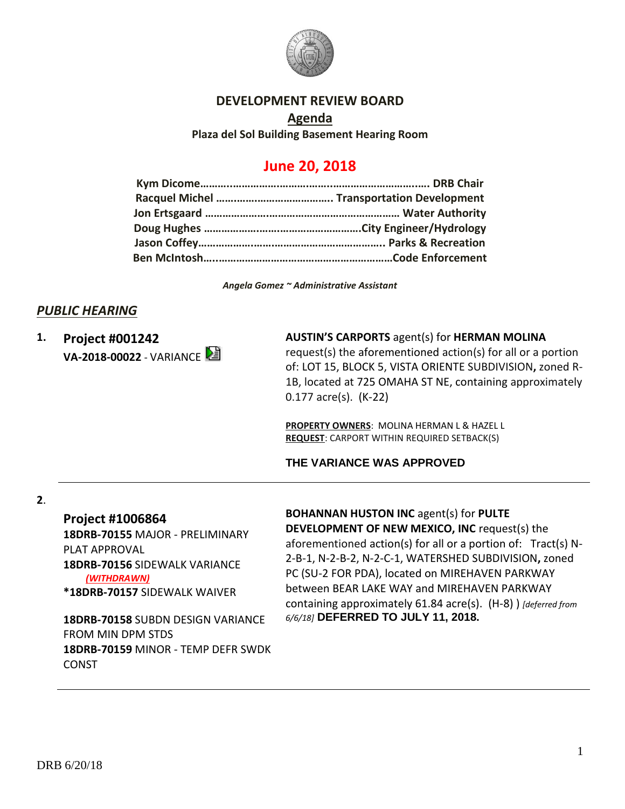

### **DEVELOPMENT REVIEW BOARD**

**Agenda Plaza del Sol Building Basement Hearing Room**

# **June 20, 2018**

*Angela Gomez ~ Administrative Assistant*

### *PUBLIC HEARING*

**1. Project #001242 VA-2018-00022** - VARIANCE

### **AUSTIN'S CARPORTS** agent(s) for **HERMAN MOLINA**

request(s) the aforementioned action(s) for all or a portion of: LOT 15, BLOCK 5, VISTA ORIENTE SUBDIVISION**,** zoned R-1B, located at 725 OMAHA ST NE, containing approximately 0.177 acre(s). (K-22)

**PROPERTY OWNERS**: MOLINA HERMAN L & HAZEL L **REQUEST**: CARPORT WITHIN REQUIRED SETBACK(S)

## **THE VARIANCE WAS APPROVED**

#### **2**.

**Project #1006864**

**18DRB-70155** MAJOR - PRELIMINARY PLAT APPROVAL **18DRB-70156** SIDEWALK VARIANCE *(WITHDRAWN)* **\*18DRB-70157** SIDEWALK WAIVER

**18DRB-70158** SUBDN DESIGN VARIANCE FROM MIN DPM STDS **18DRB-70159** MINOR - TEMP DEFR SWDK CONST

**BOHANNAN HUSTON INC** agent(s) for **PULTE DEVELOPMENT OF NEW MEXICO, INC** request(s) the aforementioned action(s) for all or a portion of: Tract(s) N-2-B-1, N-2-B-2, N-2-C-1, WATERSHED SUBDIVISION**,** zoned PC (SU-2 FOR PDA), located on MIREHAVEN PARKWAY between BEAR LAKE WAY and MIREHAVEN PARKWAY containing approximately 61.84 acre(s). (H-8) ) *[deferred from 6/6/18]* **DEFERRED TO JULY 11, 2018.**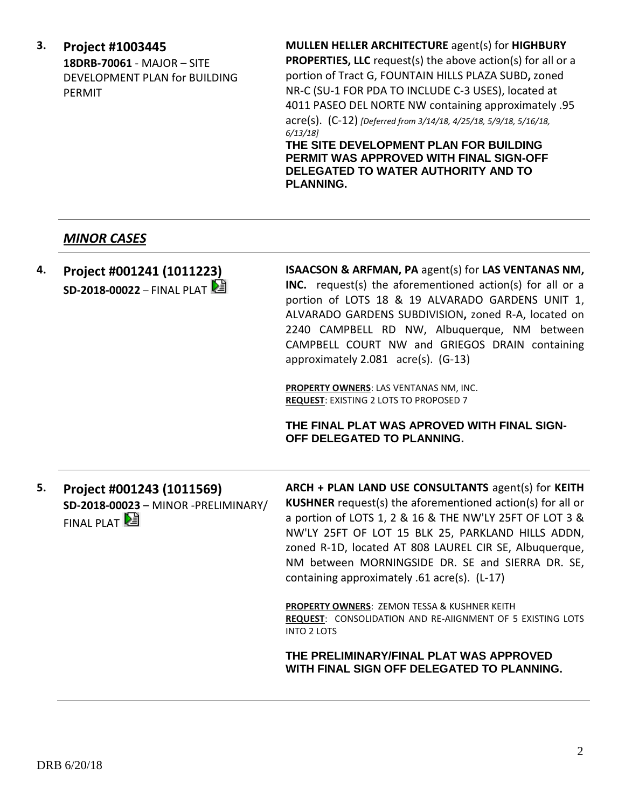**3. Project #1003445 18DRB-70061** - MAJOR – SITE DEVELOPMENT PLAN for BUILDING PERMIT

**MULLEN HELLER ARCHITECTURE** agent(s) for **HIGHBURY** 

**PROPERTIES, LLC** request(s) the above action(s) for all or a portion of Tract G, FOUNTAIN HILLS PLAZA SUBD**,** zoned NR-C (SU-1 FOR PDA TO INCLUDE C-3 USES), located at 4011 PASEO DEL NORTE NW containing approximately .95 acre(s). (C-12) *[Deferred from 3/14/18, 4/25/18, 5/9/18, 5/16/18, 6/13/18]*

**THE SITE DEVELOPMENT PLAN FOR BUILDING PERMIT WAS APPROVED WITH FINAL SIGN-OFF DELEGATED TO WATER AUTHORITY AND TO PLANNING.**

### *MINOR CASES*

**4. Project #001241 (1011223) SD-2018-00022 – FINAL PLAT**  **ISAACSON & ARFMAN, PA** agent(s) for **LAS VENTANAS NM, INC.** request(s) the aforementioned action(s) for all or a portion of LOTS 18 & 19 ALVARADO GARDENS UNIT 1, ALVARADO GARDENS SUBDIVISION**,** zoned R-A, located on 2240 CAMPBELL RD NW, Albuquerque, NM between CAMPBELL COURT NW and GRIEGOS DRAIN containing approximately 2.081 acre(s). (G-13)

**PROPERTY OWNERS**: LAS VENTANAS NM, INC. **REQUEST**: EXISTING 2 LOTS TO PROPOSED 7

**THE FINAL PLAT WAS APROVED WITH FINAL SIGN-OFF DELEGATED TO PLANNING.**

**5. Project #001243 (1011569) SD-2018-00023** – MINOR -PRELIMINARY/ FINAL PLAT

**ARCH + PLAN LAND USE CONSULTANTS** agent(s) for **KEITH KUSHNER** request(s) the aforementioned action(s) for all or a portion of LOTS 1, 2 & 16 & THE NW'LY 25FT OF LOT 3 & NW'LY 25FT OF LOT 15 BLK 25, PARKLAND HILLS ADDN, zoned R-1D, located AT 808 LAUREL CIR SE, Albuquerque, NM between MORNINGSIDE DR. SE and SIERRA DR. SE, containing approximately .61 acre(s). (L-17)

**PROPERTY OWNERS**: ZEMON TESSA & KUSHNER KEITH **REQUEST**: CONSOLIDATION AND RE-AlIGNMENT OF 5 EXISTING LOTS INTO 2 LOTS

**THE PRELIMINARY/FINAL PLAT WAS APPROVED WITH FINAL SIGN OFF DELEGATED TO PLANNING.**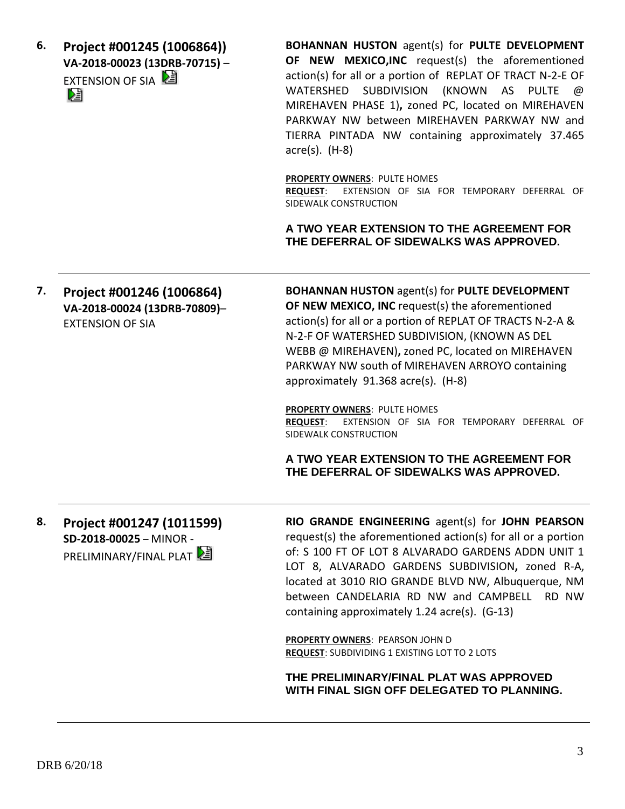**6. Project #001245 (1006864)) VA-2018-00023 (13DRB-70715)** – **EXTENSION OF SIA** 

**BOHANNAN HUSTON** agent(s) for **PULTE DEVELOPMENT OF NEW MEXICO,INC** request(s) the aforementioned action(s) for all or a portion of REPLAT OF TRACT N-2-E OF WATERSHED SUBDIVISION (KNOWN AS PULTE @ MIREHAVEN PHASE 1)**,** zoned PC, located on MIREHAVEN PARKWAY NW between MIREHAVEN PARKWAY NW and TIERRA PINTADA NW containing approximately 37.465 acre(s). (H-8)

**PROPERTY OWNERS**: PULTE HOMES

**REQUEST**: EXTENSION OF SIA FOR TEMPORARY DEFERRAL OF SIDEWALK CONSTRUCTION

**A TWO YEAR EXTENSION TO THE AGREEMENT FOR THE DEFERRAL OF SIDEWALKS WAS APPROVED.**

**7. Project #001246 (1006864) VA-2018-00024 (13DRB-70809)**– EXTENSION OF SIA

**BOHANNAN HUSTON** agent(s) for **PULTE DEVELOPMENT OF NEW MEXICO, INC** request(s) the aforementioned action(s) for all or a portion of REPLAT OF TRACTS N-2-A & N-2-F OF WATERSHED SUBDIVISION, (KNOWN AS DEL WEBB @ MIREHAVEN)**,** zoned PC, located on MIREHAVEN PARKWAY NW south of MIREHAVEN ARROYO containing approximately 91.368 acre(s). (H-8)

**PROPERTY OWNERS**: PULTE HOMES **REQUEST**: EXTENSION OF SIA FOR TEMPORARY DEFERRAL OF SIDEWALK CONSTRUCTION

**A TWO YEAR EXTENSION TO THE AGREEMENT FOR THE DEFERRAL OF SIDEWALKS WAS APPROVED.**

**8. Project #001247 (1011599) SD-2018-00025** – MINOR - PRELIMINARY/FINAL PLAT

**RIO GRANDE ENGINEERING** agent(s) for **JOHN PEARSON** request(s) the aforementioned action(s) for all or a portion of: S 100 FT OF LOT 8 ALVARADO GARDENS ADDN UNIT 1 LOT 8, ALVARADO GARDENS SUBDIVISION**,** zoned R-A, located at 3010 RIO GRANDE BLVD NW, Albuquerque, NM between CANDELARIA RD NW and CAMPBELL RD NW containing approximately 1.24 acre(s). (G-13)

**PROPERTY OWNERS**: PEARSON JOHN D **REQUEST**: SUBDIVIDING 1 EXISTING LOT TO 2 LOTS

**THE PRELIMINARY/FINAL PLAT WAS APPROVED WITH FINAL SIGN OFF DELEGATED TO PLANNING.**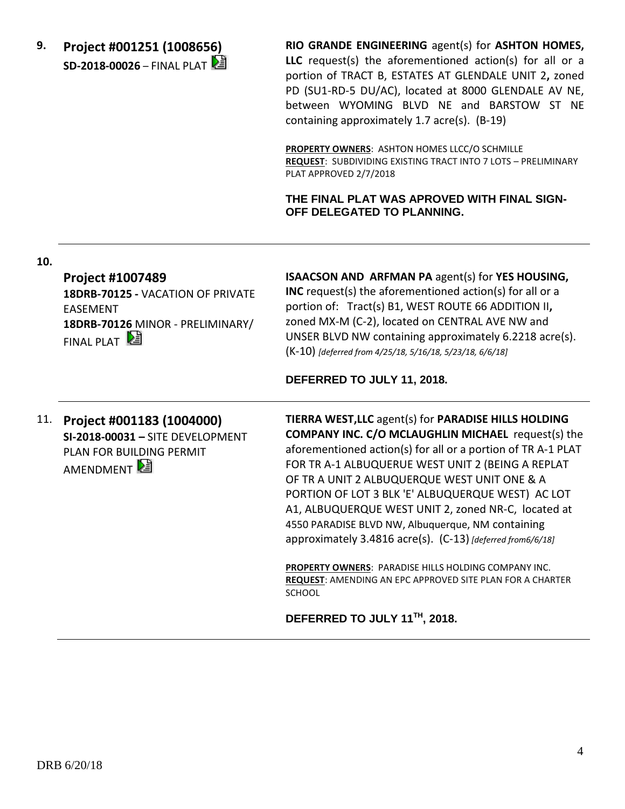**9. Project #001251 (1008656) SD-2018-00026** – FINAL PLAT **RIO GRANDE ENGINEERING** agent(s) for **ASHTON HOMES, LLC** request(s) the aforementioned action(s) for all or a portion of TRACT B, ESTATES AT GLENDALE UNIT 2**,** zoned PD (SU1-RD-5 DU/AC), located at 8000 GLENDALE AV NE, between WYOMING BLVD NE and BARSTOW ST NE containing approximately 1.7 acre(s). (B-19)

**PROPERTY OWNERS**: ASHTON HOMES LLCC/O SCHMILLE **REQUEST**: SUBDIVIDING EXISTING TRACT INTO 7 LOTS – PRELIMINARY PLAT APPROVED 2/7/2018

**THE FINAL PLAT WAS APROVED WITH FINAL SIGN-OFF DELEGATED TO PLANNING.**

#### **10.**

**Project #1007489 18DRB-70125 -** VACATION OF PRIVATE EASEMENT **18DRB-70126** MINOR - PRELIMINARY/ FINAL PLAT

**ISAACSON AND ARFMAN PA** agent(s) for **YES HOUSING, INC** request(s) the aforementioned action(s) for all or a portion of: Tract(s) B1, WEST ROUTE 66 ADDITION II**,** zoned MX-M (C-2), located on CENTRAL AVE NW and UNSER BLVD NW containing approximately 6.2218 acre(s). (K-10) *[deferred from 4/25/18, 5/16/18, 5/23/18, 6/6/18]*

**DEFERRED TO JULY 11, 2018.**

11. **Project #001183 (1004000) SI-2018-00031 –** SITE DEVELOPMENT PLAN FOR BUILDING PERMIT AMENDMENT

**TIERRA WEST,LLC** agent(s) for **PARADISE HILLS HOLDING COMPANY INC. C/O MCLAUGHLIN MICHAEL** request(s) the aforementioned action(s) for all or a portion of TR A-1 PLAT FOR TR A-1 ALBUQUERUE WEST UNIT 2 (BEING A REPLAT OF TR A UNIT 2 ALBUQUERQUE WEST UNIT ONE & A PORTION OF LOT 3 BLK 'E' ALBUQUERQUE WEST) AC LOT A1, ALBUQUERQUE WEST UNIT 2, zoned NR-C, located at 4550 PARADISE BLVD NW, Albuquerque, NM containing approximately 3.4816 acre(s). (C-13) *[deferred from6/6/18]*

**PROPERTY OWNERS**: PARADISE HILLS HOLDING COMPANY INC. **REQUEST**: AMENDING AN EPC APPROVED SITE PLAN FOR A CHARTER **SCHOOL** 

**DEFERRED TO JULY 11TH, 2018.**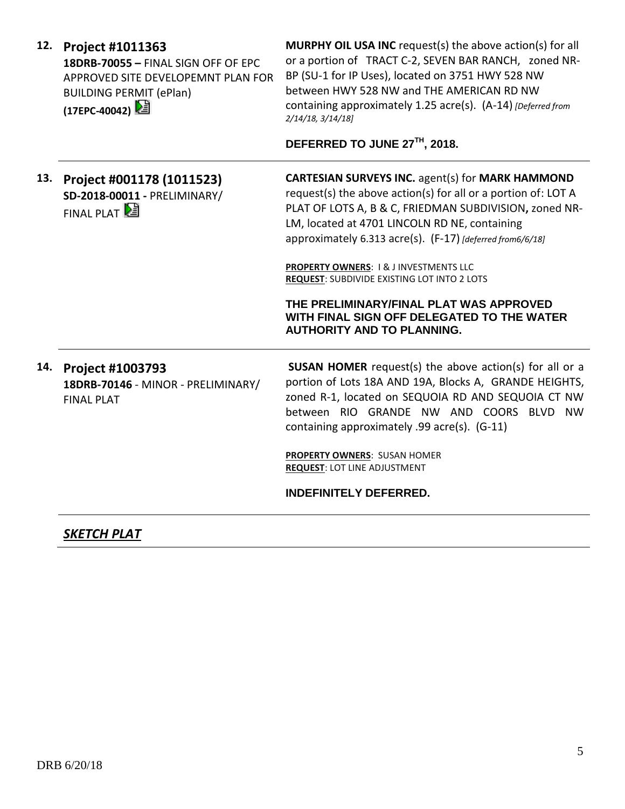| 12. | <b>Project #1011363</b><br>18DRB-70055 - FINAL SIGN OFF OF EPC<br>APPROVED SITE DEVELOPEMNT PLAN FOR<br><b>BUILDING PERMIT (ePlan)</b><br>(17EPC-40042) 2 | <b>MURPHY OIL USA INC</b> request(s) the above action(s) for all<br>or a portion of TRACT C-2, SEVEN BAR RANCH, zoned NR-<br>BP (SU-1 for IP Uses), located on 3751 HWY 528 NW<br>between HWY 528 NW and THE AMERICAN RD NW<br>containing approximately 1.25 acre(s). (A-14) [Deferred from<br>$2/14/18$ , $3/14/18$<br>DEFERRED TO JUNE 27TH, 2018.                                                                                                                                                                                     |
|-----|-----------------------------------------------------------------------------------------------------------------------------------------------------------|------------------------------------------------------------------------------------------------------------------------------------------------------------------------------------------------------------------------------------------------------------------------------------------------------------------------------------------------------------------------------------------------------------------------------------------------------------------------------------------------------------------------------------------|
|     | 13. Project #001178 (1011523)<br>SD-2018-00011 - PRELIMINARY/<br>FINAL PLAT                                                                               | <b>CARTESIAN SURVEYS INC.</b> agent(s) for <b>MARK HAMMOND</b><br>request(s) the above action(s) for all or a portion of: LOT A<br>PLAT OF LOTS A, B & C, FRIEDMAN SUBDIVISION, zoned NR-<br>LM, located at 4701 LINCOLN RD NE, containing<br>approximately 6.313 acre(s). (F-17) [deferred from6/6/18]<br><b>PROPERTY OWNERS: 1&amp; J INVESTMENTS LLC</b><br>REQUEST: SUBDIVIDE EXISTING LOT INTO 2 LOTS<br>THE PRELIMINARY/FINAL PLAT WAS APPROVED<br>WITH FINAL SIGN OFF DELEGATED TO THE WATER<br><b>AUTHORITY AND TO PLANNING.</b> |
|     | 14. Project #1003793<br>18DRB-70146 - MINOR - PRELIMINARY/<br><b>FINAL PLAT</b>                                                                           | <b>SUSAN HOMER</b> request(s) the above action(s) for all or a<br>portion of Lots 18A AND 19A, Blocks A, GRANDE HEIGHTS,<br>zoned R-1, located on SEQUOIA RD AND SEQUOIA CT NW<br>between RIO GRANDE NW AND COORS BLVD NW<br>containing approximately .99 acre(s). (G-11)<br>PROPERTY OWNERS: SUSAN HOMER<br><b>REQUEST: LOT LINE ADJUSTMENT</b><br><b>INDEFINITELY DEFERRED.</b>                                                                                                                                                        |

*SKETCH PLAT*